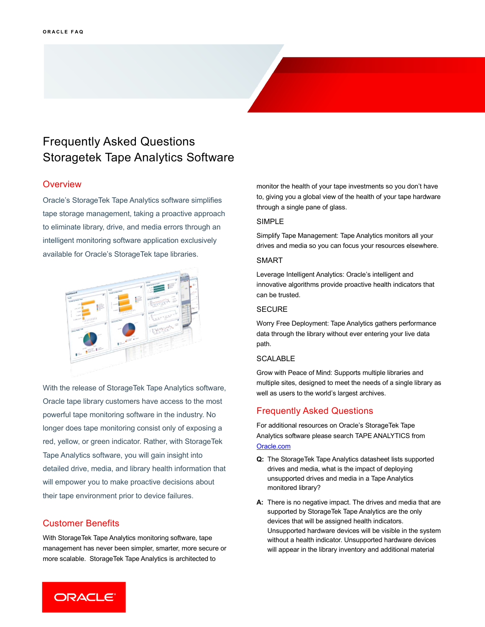# Frequently Asked Questions Storagetek Tape Analytics Software

# **Overview**

Oracle's StorageTek Tape Analytics software simplifies tape storage management, taking a proactive approach to eliminate library, drive, and media errors through an intelligent monitoring software application exclusively available for Oracle's StorageTek tape libraries.



With the release of StorageTek Tape Analytics software, Oracle tape library customers have access to the most powerful tape monitoring software in the industry. No longer does tape monitoring consist only of exposing a red, yellow, or green indicator. Rather, with StorageTek Tape Analytics software, you will gain insight into detailed drive, media, and library health information that will empower you to make proactive decisions about their tape environment prior to device failures.

# Customer Benefits

With StorageTek Tape Analytics monitoring software, tape management has never been simpler, smarter, more secure or more scalable. StorageTek Tape Analytics is architected to

monitor the health of your tape investments so you don't have to, giving you a global view of the health of your tape hardware through a single pane of glass.

#### SIMPLE

Simplify Tape Management: Tape Analytics monitors all your drives and media so you can focus your resources elsewhere.

#### SMART

Leverage Intelligent Analytics: Oracle's intelligent and innovative algorithms provide proactive health indicators that can be trusted.

## **SECURE**

Worry Free Deployment: Tape Analytics gathers performance data through the library without ever entering your live data path.

#### **SCALABLE**

Grow with Peace of Mind: Supports multiple libraries and multiple sites, designed to meet the needs of a single library as well as users to the world's largest archives.

## Frequently Asked Questions

For additional resources on Oracle's StorageTek Tape Analytics software please search TAPE ANALYTICS from <Oracle.com>

- **Q:** The StorageTek Tape Analytics datasheet lists supported drives and media, what is the impact of deploying unsupported drives and media in a Tape Analytics monitored library?
- **A:** There is no negative impact. The drives and media that are supported by StorageTek Tape Analytics are the only devices that will be assigned health indicators. Unsupported hardware devices will be visible in the system without a health indicator. Unsupported hardware devices will appear in the library inventory and additional material

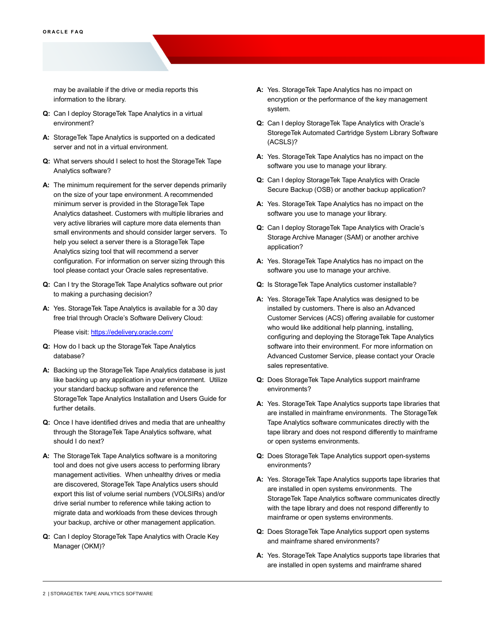may be available if the drive or media reports this information to the library.

- **Q:** Can I deploy StorageTek Tape Analytics in a virtual environment?
- **A:** StorageTek Tape Analytics is supported on a dedicated server and not in a virtual environment.
- **Q:** What servers should I select to host the StorageTek Tape Analytics software?
- **A:** The minimum requirement for the server depends primarily on the size of your tape environment. A recommended minimum server is provided in the StorageTek Tape Analytics datasheet. Customers with multiple libraries and very active libraries will capture more data elements than small environments and should consider larger servers. To help you select a server there is a StorageTek Tape Analytics sizing tool that will recommend a server configuration. For information on server sizing through this tool please contact your Oracle sales representative.
- **Q:** Can I try the StorageTek Tape Analytics software out prior to making a purchasing decision?
- **A:** Yes. StorageTek Tape Analytics is available for a 30 day free trial through Oracle's Software Delivery Cloud:

Please visit[: https://edelivery.oracle.com/](https://edelivery.oracle.com/)

- **Q:** How do I back up the StorageTek Tape Analytics database?
- **A:** Backing up the StorageTek Tape Analytics database is just like backing up any application in your environment. Utilize your standard backup software and reference the StorageTek Tape Analytics Installation and Users Guide for further details.
- **Q:** Once I have identified drives and media that are unhealthy through the StorageTek Tape Analytics software, what should I do next?
- **A:** The StorageTek Tape Analytics software is a monitoring tool and does not give users access to performing library management activities. When unhealthy drives or media are discovered, StorageTek Tape Analytics users should export this list of volume serial numbers (VOLSIRs) and/or drive serial number to reference while taking action to migrate data and workloads from these devices through your backup, archive or other management application.
- **Q:** Can I deploy StorageTek Tape Analytics with Oracle Key Manager (OKM)?
- **A:** Yes. StorageTek Tape Analytics has no impact on encryption or the performance of the key management system.
- **Q:** Can I deploy StorageTek Tape Analytics with Oracle's StoregeTek Automated Cartridge System Library Software (ACSLS)?
- **A:** Yes. StorageTek Tape Analytics has no impact on the software you use to manage your library.
- **Q:** Can I deploy StorageTek Tape Analytics with Oracle Secure Backup (OSB) or another backup application?
- **A:** Yes. StorageTek Tape Analytics has no impact on the software you use to manage your library.
- **Q:** Can I deploy StorageTek Tape Analytics with Oracle's Storage Archive Manager (SAM) or another archive application?
- **A:** Yes. StorageTek Tape Analytics has no impact on the software you use to manage your archive.
- **Q:** Is StorageTek Tape Analytics customer installable?
- **A:** Yes. StorageTek Tape Analytics was designed to be installed by customers. There is also an Advanced Customer Services (ACS) offering available for customer who would like additional help planning, installing, configuring and deploying the StorageTek Tape Analytics software into their environment. For more information on Advanced Customer Service, please contact your Oracle sales representative.
- **Q:** Does StorageTek Tape Analytics support mainframe environments?
- **A:** Yes. StorageTek Tape Analytics supports tape libraries that are installed in mainframe environments. The StorageTek Tape Analytics software communicates directly with the tape library and does not respond differently to mainframe or open systems environments.
- **Q:** Does StorageTek Tape Analytics support open-systems environments?
- **A:** Yes. StorageTek Tape Analytics supports tape libraries that are installed in open systems environments. The StorageTek Tape Analytics software communicates directly with the tape library and does not respond differently to mainframe or open systems environments.
- **Q:** Does StorageTek Tape Analytics support open systems and mainframe shared environments?
- **A:** Yes. StorageTek Tape Analytics supports tape libraries that are installed in open systems and mainframe shared